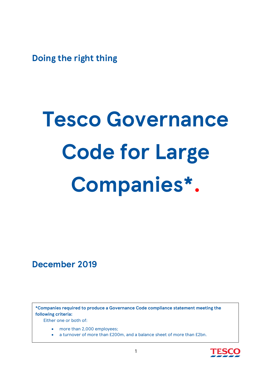**Doing the right thing**

# **Tesco Governance Code for Large Companies\* .**

**December 2019**

**\*Companies required to produce a Governance Code compliance statement meeting the following criteria:**

Either one or both of:

- more than 2,000 employees;
- a turnover of more than £200m, and a balance sheet of more than £2bn.

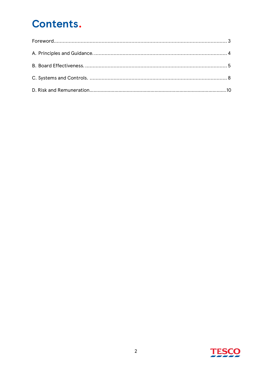## **Contents.**

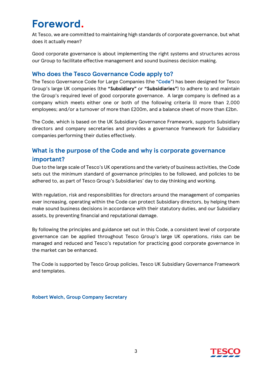## <span id="page-2-0"></span>**Foreword.**

At Tesco, we are committed to maintaining high standards of corporate governance, but what does it actually mean?

Good corporate governance is about implementing the right systems and structures across our Group to facilitate effective management and sound business decision making.

#### **Who does the Tesco Governance Code apply to?**

The Tesco Governance Code for Large Companies (the "**Code**") has been designed for Tesco Group's large UK companies (the **"Subsidiary"** or **"Subsidiaries"**) to adhere to and maintain the Group's required level of good corporate governance. A large company is defined as a company which meets either one or both of the following criteria (i) more than 2,000 employees; and/or a turnover of more than £200m, and a balance sheet of more than £2bn.

The Code, which is based on the UK Subsidiary Governance Framework, supports Subsidiary directors and company secretaries and provides a governance framework for Subsidiary companies performing their duties effectively.

#### **What is the purpose of the Code and why is corporate governance important?**

Due to the large scale of Tesco's UK operations and the variety of business activities, the Code sets out the minimum standard of governance principles to be followed, and policies to be adhered to, as part of Tesco Group's Subsidiaries' day to day thinking and working.

With regulation, risk and responsibilities for directors around the management of companies ever increasing, operating within the Code can protect Subsidiary directors, by helping them make sound business decisions in accordance with their statutory duties, and our Subsidiary assets, by preventing financial and reputational damage.

By following the principles and guidance set out in this Code, a consistent level of corporate governance can be applied throughout Tesco Group's large UK operations, risks can be managed and reduced and Tesco's reputation for practicing good corporate governance in the market can be enhanced.

The Code is supported by Tesco Group policies, Tesco UK Subsidiary Governance Framework and templates.

**Robert Welch, Group Company Secretary**

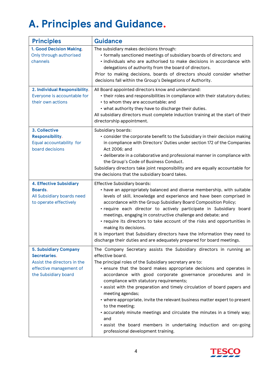## <span id="page-3-0"></span>**A. Principles and Guidance.**

| <b>Principles</b>                                                                                                              | <b>Guidance</b>                                                                                                                                                                                                                                                                                                                                                                                                                                                                                                                                                                                                                                                                                                                   |
|--------------------------------------------------------------------------------------------------------------------------------|-----------------------------------------------------------------------------------------------------------------------------------------------------------------------------------------------------------------------------------------------------------------------------------------------------------------------------------------------------------------------------------------------------------------------------------------------------------------------------------------------------------------------------------------------------------------------------------------------------------------------------------------------------------------------------------------------------------------------------------|
| 1. Good Decision Making.<br>Only through authorised<br>channels                                                                | The subsidiary makes decisions through:<br>• formally sanctioned meetings of subsidiary boards of directors; and<br>· individuals who are authorised to make decisions in accordance with<br>delegations of authority from the board of directors.<br>Prior to making decisions, boards of directors should consider whether<br>decisions fall within the Group's Delegations of Authority.                                                                                                                                                                                                                                                                                                                                       |
| 2. Individual Responsibility.<br>Everyone is accountable for<br>their own actions                                              | All Board appointed directors know and understand:<br>• their roles and responsibilities in compliance with their statutory duties;<br>• to whom they are accountable; and<br>• what authority they have to discharge their duties.<br>All subsidiary directors must complete induction training at the start of their<br>directorship appointment.                                                                                                                                                                                                                                                                                                                                                                               |
| 3. Collective<br>Responsibility.<br>Equal accountability for<br>board decisions                                                | Subsidiary boards:<br>• consider the corporate benefit to the Subsidiary in their decision making<br>in compliance with Directors' Duties under section 172 of the Companies<br>Act 2006; and<br>• deliberate in a collaborative and professional manner in compliance with<br>the Group's Code of Business Conduct.<br>Subsidiary directors take joint responsibility and are equally accountable for<br>the decisions that the subsidiary board takes.                                                                                                                                                                                                                                                                          |
| <b>4. Effective Subsidiary</b><br>Boards.<br>All Subsidiary boards need<br>to operate effectively                              | <b>Effective Subsidiary boards:</b><br>• have an appropriately balanced and diverse membership, with suitable<br>levels of skill, knowledge and experience and have been comprised in<br>accordance with the Group Subsidiary Board Composition Policy;<br>· require each director to actively participate in Subsidiary board<br>meetings, engaging in constructive challenge and debate; and<br>• require its directors to take account of the risks and opportunities in<br>making its decisions.<br>It is important that Subsidiary directors have the information they need to<br>discharge their duties and are adequately prepared for board meetings.                                                                     |
| <b>5. Subsidiary Company</b><br>Secretaries.<br>Assist the directors in the<br>effective management of<br>the Subsidiary board | The Company Secretary assists the Subsidiary directors in running an<br>effective board.<br>The principal roles of the Subsidiary secretary are to:<br>• ensure that the board makes appropriate decisions and operates in<br>accordance with good corporate governance procedures and in<br>compliance with statutory requirements;<br>· assist with the preparation and timely circulation of board papers and<br>meeting agendas;<br>• where appropriate, invite the relevant business matter expert to present<br>to the meeting;<br>• accurately minute meetings and circulate the minutes in a timely way;<br>and<br>· assist the board members in undertaking induction and on-going<br>professional development training. |

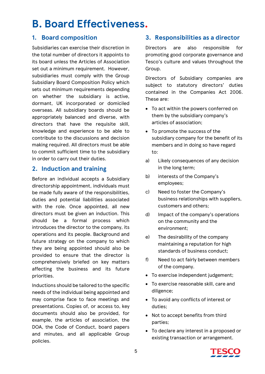## <span id="page-4-0"></span>**B. Board Effectiveness.**

#### **1. Board composition**

Subsidiaries can exercise their discretion in the total number of directors it appoints to its board unless the Articles of Association set out a minimum requirement. However, subsidiaries must comply with the Group Subsidiary Board Composition Policy which sets out minimum requirements depending on whether the subsidiary is active, dormant, UK incorporated or domiciled overseas. All subsidiary boards should be appropriately balanced and diverse, with directors that have the requisite skill, knowledge and experience to be able to contribute to the discussions and decision making required. All directors must be able to commit sufficient time to the subsidiary in order to carry out their duties.

#### **2. Induction and training**

Before an individual accepts a Subsidiary directorship appointment, individuals must be made fully aware of the responsibilities, duties and potential liabilities associated with the role. Once appointed, all new directors must be given an induction. This should be a formal process which introduces the director to the company, its operations and its people. Background and future strategy on the company to which they are being appointed should also be provided to ensure that the director is comprehensively briefed on key matters affecting the business and its future priorities.

Inductions should be tailored to the specific needs of the individual being appointed and may comprise face to face meetings and presentations. Copies of, or access to, key documents should also be provided, for example, the articles of association, the DOA, the Code of Conduct, board papers and minutes, and all applicable Group policies.

#### **3. Responsibilities as a director**

Directors are also responsible for promoting good corporate governance and Tesco's culture and values throughout the Group.

Directors of Subsidiary companies are subject to statutory directors' duties contained in the Companies Act 2006. These are:

- To act within the powers conferred on them by the subsidiary company's articles of association;
- To promote the success of the subsidiary company for the benefit of its members and in doing so have regard to:
- a) Likely consequences of any decision in the long term;
- b) interests of the Company's employees;
- c) Need to foster the Company's business relationships with suppliers, customers and others;
- d) Impact of the company's operations on the community and the environment;
- e) The desirability of the company maintaining a reputation for high standards of business conduct;
- f) Need to act fairly between members of the company.
- To exercise independent judgement;
- To exercise reasonable skill, care and diligence;
- To avoid any conflicts of interest or duties;
- Not to accept benefits from third parties;
- To declare any interest in a proposed or existing transaction or arrangement.

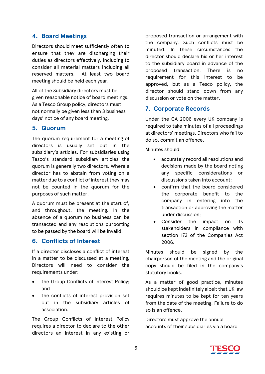#### **4. Board Meetings**

Directors should meet sufficiently often to ensure that they are discharging their duties as directors effectively, including to consider all material matters including all reserved matters. At least two board meeting should be held each year.

All of the Subsidiary directors must be given reasonable notice of board meetings. As a Tesco Group policy, directors must not normally be given less than 3 business days' notice of any board meeting.

#### **5. Quorum**

The quorum requirement for a meeting of directors is usually set out in the subsidiary's articles. For subsidiaries using Tesco's standard subsidiary articles the quorum is generally two directors. Where a director has to abstain from voting on a matter due to a conflict of interest they may not be counted in the quorum for the purposes of such matter.

A quorum must be present at the start of, and throughout, the meeting. In the absence of a quorum no business can be transacted and any resolutions purporting to be passed by the board will be invalid.

#### **6. Conflicts of Interest**

If a director discloses a conflict of interest in a matter to be discussed at a meeting, Directors will need to consider the requirements under:

- the Group Conflicts of Interest Policy; and
- the conflicts of interest provision set out in the subsidiary articles of association.

The Group Conflicts of Interest Policy requires a director to declare to the other directors an interest in any existing or

proposed transaction or arrangement with the company. Such conflicts must be minuted. In these circumstances the director should declare his or her interest to the subsidiary board in advance of the proposed transaction. There is no requirement for this interest to be approved, but as a Tesco policy, the director should stand down from any discussion or vote on the matter.

#### **7. Corporate Records**

Under the CA 2006 every UK company is required to take minutes of all proceedings at directors' meetings. Directors who fail to do so, commit an offence.

Minutes should:

- accurately record all resolutions and decisions made by the board noting any specific considerations or discussions taken into account;
- confirm that the board considered the corporate benefit to the company in entering into the transaction or approving the matter under discussion;
- Consider the impact on its stakeholders in compliance with section 172 of the Companies Act 2006.

Minutes should be signed by the chairperson of the meeting and the original copy should be filed in the company's statutory books.

As a matter of good practice, minutes should be kept indefinitely albeit that UK law requires minutes to be kept for ten years from the date of the meeting. Failure to do so is an offence.

Directors must approve the annual accounts of their subsidiaries via a board

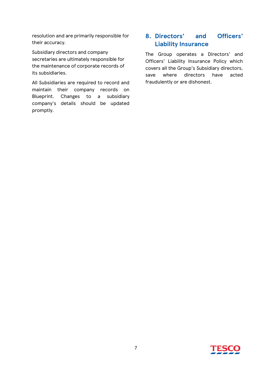resolution and are primarily responsible for their accuracy.

Subsidiary directors and company secretaries are ultimately responsible for the maintenance of corporate records of its subsidiaries.

All Subsidiaries are required to record and maintain their company records on Blueprint. Changes to a subsidiary company's details should be updated promptly.

#### **8. Directors' and Officers' Liability Insurance**

The Group operates a Directors' and Officers' Liability Insurance Policy which covers all the Group's Subsidiary directors, save where directors have acted fraudulently or are dishonest.

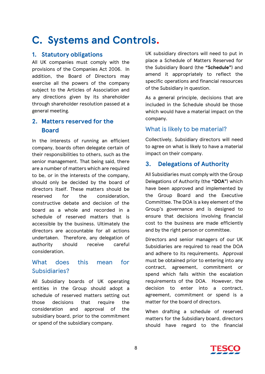### <span id="page-7-0"></span>**C. Systems and Controls.**

#### **1. Statutory obligations**

All UK companies must comply with the provisions of the Companies Act 2006. In addition, the Board of Directors may exercise all the powers of the company subject to the Articles of Association and any directions given by its shareholder through shareholder resolution passed at a general meeting.

#### **2. Matters reserved for the Board**

In the interests of running an efficient company, boards often delegate certain of their responsibilities to others, such as the senior management. That being said, there are a number of matters which are required to be, or in the interests of the company, should only be decided by the board of directors itself. These matters should be reserved for the consideration, constructive debate and decision of the board as a whole and recorded in a schedule of reserved matters that is accessible by the business. Ultimately the directors are accountable for all actions undertaken. Therefore, any delegation of authority should receive careful consideration.

#### What does this mean for Subsidiaries?

All Subsidiary boards of UK operating entities in the Group should adopt a schedule of reserved matters setting out those decisions that require the consideration and approval of the subsidiary board, prior to the commitment or spend of the subsidiary company.

UK subsidiary directors will need to put in place a Schedule of Matters Reserved for the Subsidiary Board (the **"Schedule"**) and amend it appropriately to reflect the specific operations and financial resources of the Subsidiary in question.

As a general principle, decisions that are included in the Schedule should be those which would have a material impact on the company.

#### What is likely to be material?

Collectively, Subsidiary directors will need to agree on what is likely to have a material impact on their company.

#### **3. Delegations of Authority**

All Subsidiaries must comply with the Group Delegations of Authority (the **"DOA"**) which have been approved and implemented by the Group Board and the Executive Committee. The DOA is a key element of the Group's governance and is designed to ensure that decisions involving financial cost to the business are made efficiently and by the right person or committee.

Directors and senior managers of our UK Subsidiaries are required to read the DOA and adhere to its requirements. Approval must be obtained prior to entering into any contract, agreement, commitment or spend which falls within the escalation requirements of the DOA. However, the decision to enter into a contract, agreement, commitment or spend is a matter for the board of directors.

When drafting a schedule of reserved matters for the Subsidiary board, directors should have regard to the financial

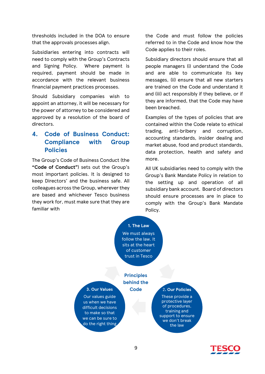thresholds included in the DOA to ensure that the approvals processes align.

Subsidiaries entering into contracts will need to comply with the Group's Contracts and Signing Policy. Where payment is required, payment should be made in accordance with the relevant business financial payment practices processes.

Should Subsidiary companies wish to appoint an attorney, it will be necessary for the power of attorney to be considered and approved by a resolution of the board of directors.

#### **4. Code of Business Conduct: Compliance with Group Policies**

The Group's Code of Business Conduct (the **"Code of Conduct"**) sets out the Group's most important policies. It is designed to keep Directors' and the business safe. All colleagues across the Group, wherever they are based and whichever Tesco business they work for, must make sure that they are familiar with

the Code and must follow the policies referred to in the Code and know how the Code applies to their roles.

Subsidiary directors should ensure that all people managers (i) understand the Code and are able to communicate its key messages, (ii) ensure that all new starters are trained on the Code and understand it and (iii) act responsibly if they believe, or if they are informed, that the Code may have been breached.

Examples of the types of policies that are contained within the Code relate to ethical trading, anti-bribery and corruption, accounting standards, insider dealing and market abuse, food and product standards, data protection, health and safety and more.

All UK subsidiaries need to comply with the Group's Bank Mandate Policy in relation to the setting up and operation of all subsidiary bank account. Board of directors should ensure processes are in place to comply with the Group's Bank Mandate Policy.